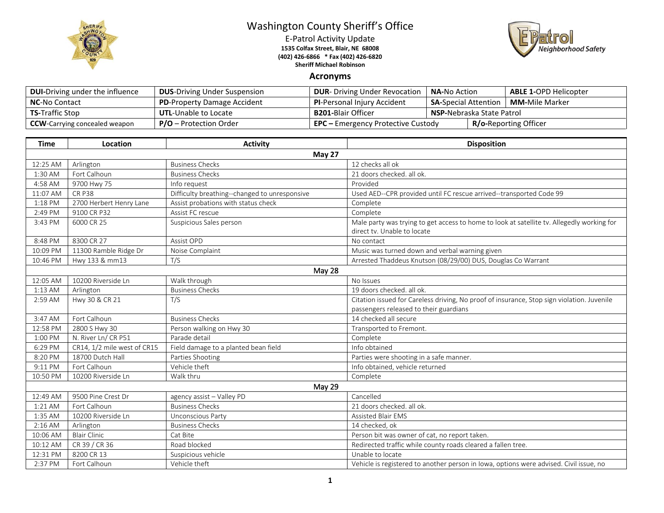

## Washington County Sheriff's Office

E-Patrol Activity Update **1535 Colfax Street, Blair, NE 68008 (402) 426-6866 \* Fax (402) 426-6820 Sheriff Michael Robinson**



## **Acronyms**

| <b>DUI-Driving under the influence</b> | <b>DUS-Driving Under Suspension</b> | <b>DUR-</b> Driving Under Revocation                                      | <b>NA-</b> No Action                                  |  | <b>ABLE 1-OPD Helicopter</b> |
|----------------------------------------|-------------------------------------|---------------------------------------------------------------------------|-------------------------------------------------------|--|------------------------------|
| <b>NC-No Contact</b>                   | <b>PD-Property Damage Accident</b>  | <b>PI-Personal Injury Accident</b>                                        | <b>SA-Special Attention</b><br><b>MM-</b> Mile Marker |  |                              |
| <b>TS-Traffic Stop</b>                 | <b>UTL-Unable to Locate</b>         | <b>B201-</b> Blair Officer                                                | <b>NSP-</b> Nebraska State Patrol                     |  |                              |
| <b>CCW</b> -Carrying concealed weapon  | <b>P/O</b> – Protection Order       | <b>R/o-Reporting Officer</b><br><b>EPC</b> – Emergency Protective Custody |                                                       |  |                              |

| <b>Time</b>   | Location                    | <b>Activity</b>                               | <b>Disposition</b>                                                                                                        |  |  |  |
|---------------|-----------------------------|-----------------------------------------------|---------------------------------------------------------------------------------------------------------------------------|--|--|--|
| <b>May 27</b> |                             |                                               |                                                                                                                           |  |  |  |
| 12:25 AM      | Arlington                   | <b>Business Checks</b>                        | 12 checks all ok                                                                                                          |  |  |  |
| 1:30 AM       | Fort Calhoun                | <b>Business Checks</b>                        | 21 doors checked, all ok.                                                                                                 |  |  |  |
| 4:58 AM       | 9700 Hwy 75                 | Info request                                  | Provided                                                                                                                  |  |  |  |
| 11:07 AM      | <b>CR P38</b>               | Difficulty breathing--changed to unresponsive | Used AED--CPR provided until FC rescue arrived--transported Code 99                                                       |  |  |  |
| 1:18 PM       | 2700 Herbert Henry Lane     | Assist probations with status check           | Complete                                                                                                                  |  |  |  |
| 2:49 PM       | 9100 CR P32                 | Assist FC rescue                              | Complete                                                                                                                  |  |  |  |
| 3:43 PM       | 6000 CR 25                  | Suspicious Sales person                       | Male party was trying to get access to home to look at satellite tv. Allegedly working for<br>direct tv. Unable to locate |  |  |  |
| 8:48 PM       | 8300 CR 27                  | Assist OPD                                    | No contact                                                                                                                |  |  |  |
| 10:09 PM      | 11300 Ramble Ridge Dr       | Noise Complaint                               | Music was turned down and verbal warning given                                                                            |  |  |  |
| 10:46 PM      | Hwy 133 & mm13              | T/S                                           | Arrested Thaddeus Knutson (08/29/00) DUS, Douglas Co Warrant                                                              |  |  |  |
|               | May 28                      |                                               |                                                                                                                           |  |  |  |
| 12:05 AM      | 10200 Riverside Ln          | Walk through                                  | No Issues                                                                                                                 |  |  |  |
| 1:13 AM       | Arlington                   | <b>Business Checks</b>                        | 19 doors checked, all ok.                                                                                                 |  |  |  |
| 2:59 AM       | Hwy 30 & CR 21              | T/S                                           | Citation issued for Careless driving, No proof of insurance, Stop sign violation. Juvenile                                |  |  |  |
|               |                             |                                               | passengers released to their guardians                                                                                    |  |  |  |
| 3:47 AM       | Fort Calhoun                | <b>Business Checks</b>                        | 14 checked all secure                                                                                                     |  |  |  |
| 12:58 PM      | 2800 S Hwy 30               | Person walking on Hwy 30                      | Transported to Fremont.                                                                                                   |  |  |  |
| 1:00 PM       | N. River Ln/CR P51          | Parade detail                                 | Complete                                                                                                                  |  |  |  |
| 6:29 PM       | CR14, 1/2 mile west of CR15 | Field damage to a planted bean field          | Info obtained                                                                                                             |  |  |  |
| 8:20 PM       | 18700 Dutch Hall            | Parties Shooting                              | Parties were shooting in a safe manner.                                                                                   |  |  |  |
| 9:11 PM       | Fort Calhoun                | Vehicle theft                                 | Info obtained, vehicle returned                                                                                           |  |  |  |
| 10:50 PM      | 10200 Riverside Ln          | Walk thru                                     | Complete                                                                                                                  |  |  |  |
| May 29        |                             |                                               |                                                                                                                           |  |  |  |
| 12:49 AM      | 9500 Pine Crest Dr          | agency assist - Valley PD                     | Cancelled                                                                                                                 |  |  |  |
| 1:21 AM       | Fort Calhoun                | <b>Business Checks</b>                        | 21 doors checked. all ok.                                                                                                 |  |  |  |
| 1:35 AM       | 10200 Riverside Ln          | Unconscious Party                             | <b>Assisted Blair EMS</b>                                                                                                 |  |  |  |
| $2:16$ AM     | Arlington                   | <b>Business Checks</b>                        | 14 checked, ok                                                                                                            |  |  |  |
| 10:06 AM      | <b>Blair Clinic</b>         | Cat Bite                                      | Person bit was owner of cat, no report taken.                                                                             |  |  |  |
| 10:12 AM      | CR 39 / CR 36               | Road blocked                                  | Redirected traffic while county roads cleared a fallen tree.                                                              |  |  |  |
| 12:31 PM      | 8200 CR 13                  | Suspicious vehicle                            | Unable to locate                                                                                                          |  |  |  |
| 2:37 PM       | Fort Calhoun                | Vehicle theft                                 | Vehicle is registered to another person in Iowa, options were advised. Civil issue, no                                    |  |  |  |